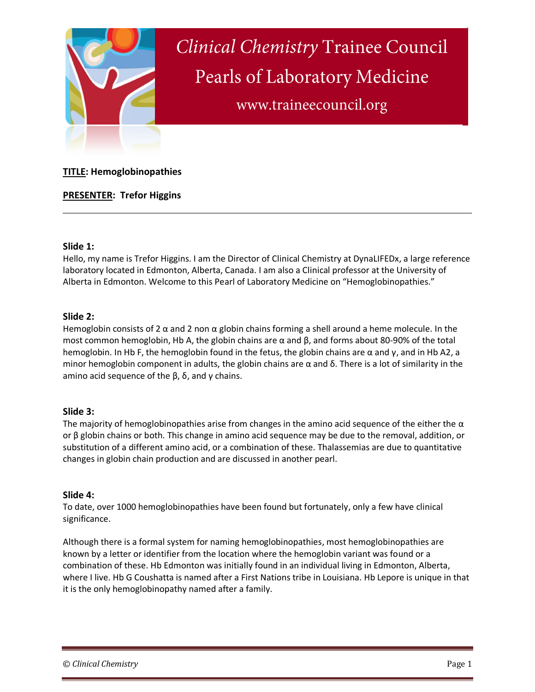

# **TITLE: Hemoglobinopathies**

**PRESENTER: Trefor Higgins** 

### **Slide 1:**

Hello, my name is Trefor Higgins. I am the Director of Clinical Chemistry at DynaLIFEDx, a large reference laboratory located in Edmonton, Alberta, Canada. I am also a Clinical professor at the University of Alberta in Edmonton. Welcome to this Pearl of Laboratory Medicine on "Hemoglobinopathies."

# **Slide 2:**

Hemoglobin consists of 2  $\alpha$  and 2 non  $\alpha$  globin chains forming a shell around a heme molecule. In the most common hemoglobin, Hb A, the globin chains are  $\alpha$  and  $\beta$ , and forms about 80-90% of the total hemoglobin. In Hb F, the hemoglobin found in the fetus, the globin chains are α and γ, and in Hb A2, a minor hemoglobin component in adults, the globin chains are  $\alpha$  and  $\delta$ . There is a lot of similarity in the amino acid sequence of the  $\beta$ ,  $\delta$ , and γ chains.

# **Slide 3:**

The majority of hemoglobinopathies arise from changes in the amino acid sequence of the either the  $\alpha$ or β globin chains or both. This change in amino acid sequence may be due to the removal, addition, or substitution of a different amino acid, or a combination of these. Thalassemias are due to quantitative changes in globin chain production and are discussed in another pearl.

# **Slide 4:**

To date, over 1000 hemoglobinopathies have been found but fortunately, only a few have clinical significance.

Although there is a formal system for naming hemoglobinopathies, most hemoglobinopathies are known by a letter or identifier from the location where the hemoglobin variant was found or a combination of these. Hb Edmonton was initially found in an individual living in Edmonton, Alberta, where I live. Hb G Coushatta is named after a First Nations tribe in Louisiana. Hb Lepore is unique in that it is the only hemoglobinopathy named after a family.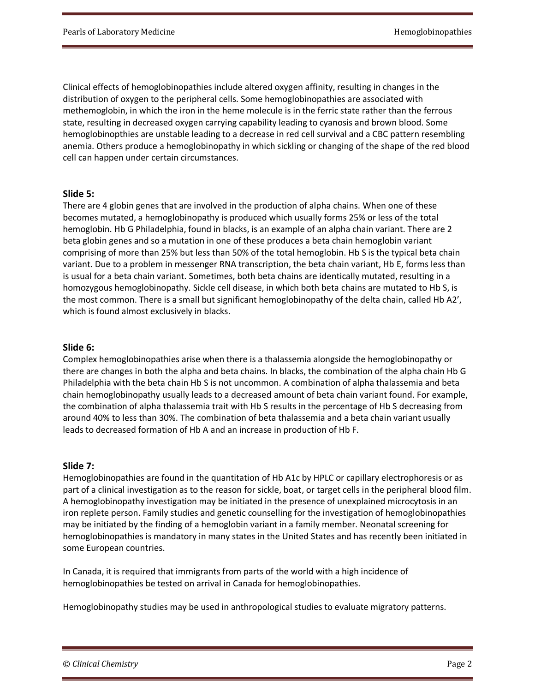Clinical effects of hemoglobinopathies include altered oxygen affinity, resulting in changes in the distribution of oxygen to the peripheral cells. Some hemoglobinopathies are associated with methemoglobin, in which the iron in the heme molecule is in the ferric state rather than the ferrous state, resulting in decreased oxygen carrying capability leading to cyanosis and brown blood. Some hemoglobinopthies are unstable leading to a decrease in red cell survival and a CBC pattern resembling anemia. Others produce a hemoglobinopathy in which sickling or changing of the shape of the red blood cell can happen under certain circumstances.

### **Slide 5:**

There are 4 globin genes that are involved in the production of alpha chains. When one of these becomes mutated, a hemoglobinopathy is produced which usually forms 25% or less of the total hemoglobin. Hb G Philadelphia, found in blacks, is an example of an alpha chain variant. There are 2 beta globin genes and so a mutation in one of these produces a beta chain hemoglobin variant comprising of more than 25% but less than 50% of the total hemoglobin. Hb S is the typical beta chain variant. Due to a problem in messenger RNA transcription, the beta chain variant, Hb E, forms less than is usual for a beta chain variant. Sometimes, both beta chains are identically mutated, resulting in a homozygous hemoglobinopathy. Sickle cell disease, in which both beta chains are mutated to Hb S, is the most common. There is a small but significant hemoglobinopathy of the delta chain, called Hb A2', which is found almost exclusively in blacks.

#### **Slide 6:**

Complex hemoglobinopathies arise when there is a thalassemia alongside the hemoglobinopathy or there are changes in both the alpha and beta chains. In blacks, the combination of the alpha chain Hb G Philadelphia with the beta chain Hb S is not uncommon. A combination of alpha thalassemia and beta chain hemoglobinopathy usually leads to a decreased amount of beta chain variant found. For example, the combination of alpha thalassemia trait with Hb S results in the percentage of Hb S decreasing from around 40% to less than 30%. The combination of beta thalassemia and a beta chain variant usually leads to decreased formation of Hb A and an increase in production of Hb F.

#### **Slide 7:**

Hemoglobinopathies are found in the quantitation of Hb A1c by HPLC or capillary electrophoresis or as part of a clinical investigation as to the reason for sickle, boat, or target cells in the peripheral blood film. A hemoglobinopathy investigation may be initiated in the presence of unexplained microcytosis in an iron replete person. Family studies and genetic counselling for the investigation of hemoglobinopathies may be initiated by the finding of a hemoglobin variant in a family member. Neonatal screening for hemoglobinopathies is mandatory in many states in the United States and has recently been initiated in some European countries.

In Canada, it is required that immigrants from parts of the world with a high incidence of hemoglobinopathies be tested on arrival in Canada for hemoglobinopathies.

Hemoglobinopathy studies may be used in anthropological studies to evaluate migratory patterns.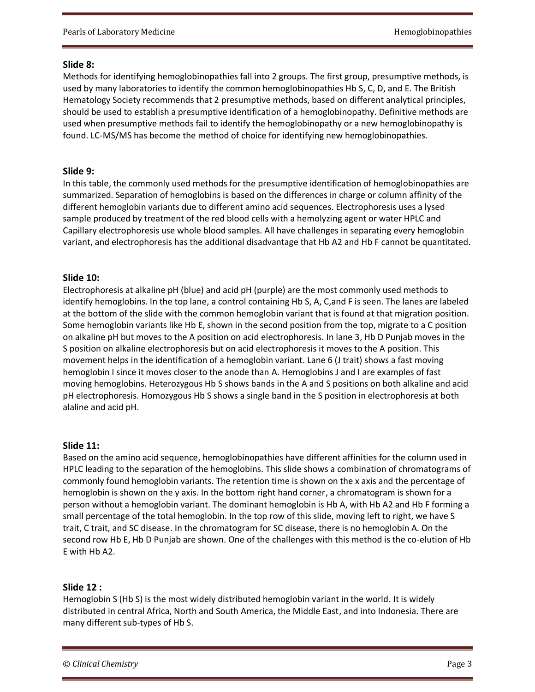# **Slide 8:**

Methods for identifying hemoglobinopathies fall into 2 groups. The first group, presumptive methods, is used by many laboratories to identify the common hemoglobinopathies Hb S, C, D, and E. The British Hematology Society recommends that 2 presumptive methods, based on different analytical principles, should be used to establish a presumptive identification of a hemoglobinopathy. Definitive methods are used when presumptive methods fail to identify the hemoglobinopathy or a new hemoglobinopathy is found. LC-MS/MS has become the method of choice for identifying new hemoglobinopathies.

# **Slide 9:**

In this table, the commonly used methods for the presumptive identification of hemoglobinopathies are summarized. Separation of hemoglobins is based on the differences in charge or column affinity of the different hemoglobin variants due to different amino acid sequences. Electrophoresis uses a lysed sample produced by treatment of the red blood cells with a hemolyzing agent or water HPLC and Capillary electrophoresis use whole blood samples. All have challenges in separating every hemoglobin variant, and electrophoresis has the additional disadvantage that Hb A2 and Hb F cannot be quantitated.

# **Slide 10:**

Electrophoresis at alkaline pH (blue) and acid pH (purple) are the most commonly used methods to identify hemoglobins. In the top lane, a control containing Hb S, A, C,and F is seen. The lanes are labeled at the bottom of the slide with the common hemoglobin variant that is found at that migration position. Some hemoglobin variants like Hb E, shown in the second position from the top, migrate to a C position on alkaline pH but moves to the A position on acid electrophoresis. In lane 3, Hb D Punjab moves in the S position on alkaline electrophoresis but on acid electrophoresis it moves to the A position. This movement helps in the identification of a hemoglobin variant. Lane 6 (J trait) shows a fast moving hemoglobin I since it moves closer to the anode than A. Hemoglobins J and I are examples of fast moving hemoglobins. Heterozygous Hb S shows bands in the A and S positions on both alkaline and acid pH electrophoresis. Homozygous Hb S shows a single band in the S position in electrophoresis at both alaline and acid pH.

# **Slide 11:**

Based on the amino acid sequence, hemoglobinopathies have different affinities for the column used in HPLC leading to the separation of the hemoglobins. This slide shows a combination of chromatograms of commonly found hemoglobin variants. The retention time is shown on the x axis and the percentage of hemoglobin is shown on the y axis. In the bottom right hand corner, a chromatogram is shown for a person without a hemoglobin variant. The dominant hemoglobin is Hb A, with Hb A2 and Hb F forming a small percentage of the total hemoglobin. In the top row of this slide, moving left to right, we have S trait, C trait, and SC disease. In the chromatogram for SC disease, there is no hemoglobin A. On the second row Hb E, Hb D Punjab are shown. One of the challenges with this method is the co-elution of Hb E with Hb A2.

# **Slide 12 :**

Hemoglobin S (Hb S) is the most widely distributed hemoglobin variant in the world. It is widely distributed in central Africa, North and South America, the Middle East, and into Indonesia. There are many different sub-types of Hb S.